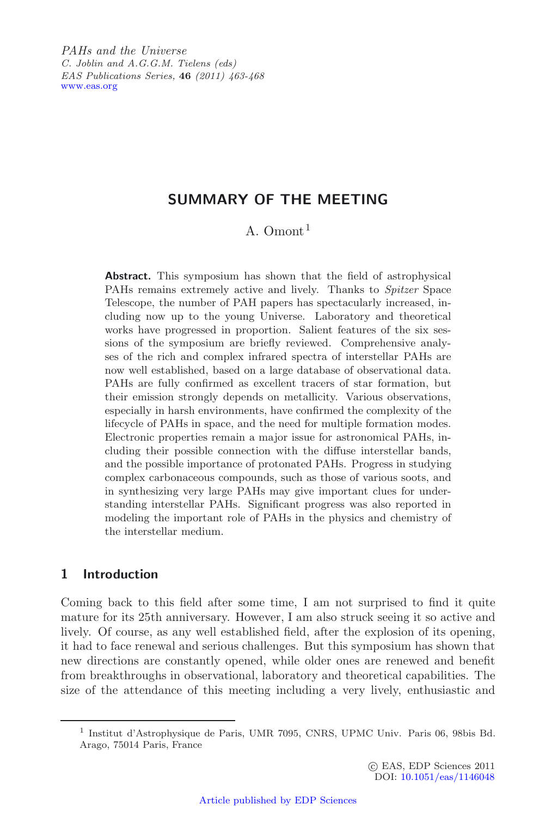*PAHs and the Universe C. Joblin and A.G.G.M. Tielens (eds) EAS Publications Series,* **46** *(2011) 463-468* [www.eas.org](http://www.eas.org)

## **SUMMARY OF THE MEETING**

## A. Omont $1$

**Abstract.** This symposium has shown that the field of astrophysical PAHs remains extremely active and lively. Thanks to *Spitzer* Space Telescope, the number of PAH papers has spectacularly increased, including now up to the young Universe. Laboratory and theoretical works have progressed in proportion. Salient features of the six sessions of the symposium are briefly reviewed. Comprehensive analyses of the rich and complex infrared spectra of interstellar PAHs are now well established, based on a large database of observational data. PAHs are fully confirmed as excellent tracers of star formation, but their emission strongly depends on metallicity. Various observations, especially in harsh environments, have confirmed the complexity of the lifecycle of PAHs in space, and the need for multiple formation modes. Electronic properties remain a major issue for astronomical PAHs, including their possible connection with the diffuse interstellar bands, and the possible importance of protonated PAHs. Progress in studying complex carbonaceous compounds, such as those of various soots, and in synthesizing very large PAHs may give important clues for understanding interstellar PAHs. Significant progress was also reported in modeling the important role of PAHs in the physics and chemistry of the interstellar medium.

## **1 Introduction**

Coming back to this field after some time, I am not surprised to find it quite mature for its 25th anniversary. However, I am also struck seeing it so active and lively. Of course, as any well established field, after the explosion of its opening, it had to face renewal and serious challenges. But this symposium has shown that new directions are constantly opened, while older ones are renewed and benefit from breakthroughs in observational, laboratory and theoretical capabilities. The size of the attendance of this meeting including a very lively, enthusiastic and

<sup>1</sup> Institut d'Astrophysique de Paris, UMR 7095, CNRS, UPMC Univ. Paris 06, 98bis Bd. Arago, 75014 Paris, France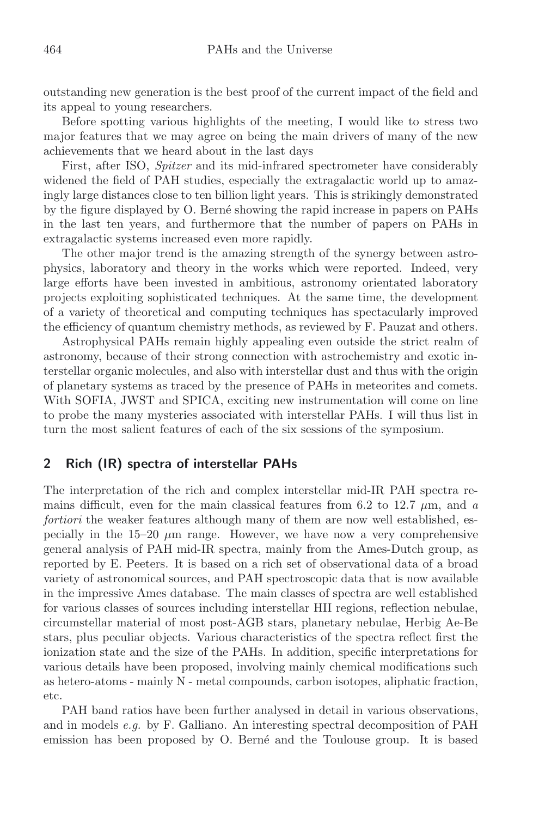outstanding new generation is the best proof of the current impact of the field and its appeal to young researchers.

Before spotting various highlights of the meeting, I would like to stress two major features that we may agree on being the main drivers of many of the new achievements that we heard about in the last days

First, after ISO, *Spitzer* and its mid-infrared spectrometer have considerably widened the field of PAH studies, especially the extragalactic world up to amazingly large distances close to ten billion light years. This is strikingly demonstrated by the figure displayed by O. Bern´e showing the rapid increase in papers on PAHs in the last ten years, and furthermore that the number of papers on PAHs in extragalactic systems increased even more rapidly.

The other major trend is the amazing strength of the synergy between astrophysics, laboratory and theory in the works which were reported. Indeed, very large efforts have been invested in ambitious, astronomy orientated laboratory projects exploiting sophisticated techniques. At the same time, the development of a variety of theoretical and computing techniques has spectacularly improved the efficiency of quantum chemistry methods, as reviewed by F. Pauzat and others.

Astrophysical PAHs remain highly appealing even outside the strict realm of astronomy, because of their strong connection with astrochemistry and exotic interstellar organic molecules, and also with interstellar dust and thus with the origin of planetary systems as traced by the presence of PAHs in meteorites and comets. With SOFIA, JWST and SPICA, exciting new instrumentation will come on line to probe the many mysteries associated with interstellar PAHs. I will thus list in turn the most salient features of each of the six sessions of the symposium.

### **2 Rich (IR) spectra of interstellar PAHs**

The interpretation of the rich and complex interstellar mid-IR PAH spectra remains difficult, even for the main classical features from 6.2 to 12.7 *µ*m, and *a fortiori* the weaker features although many of them are now well established, especially in the 15–20 *µ*m range. However, we have now a very comprehensive general analysis of PAH mid-IR spectra, mainly from the Ames-Dutch group, as reported by E. Peeters. It is based on a rich set of observational data of a broad variety of astronomical sources, and PAH spectroscopic data that is now available in the impressive Ames database. The main classes of spectra are well established for various classes of sources including interstellar HII regions, reflection nebulae, circumstellar material of most post-AGB stars, planetary nebulae, Herbig Ae-Be stars, plus peculiar objects. Various characteristics of the spectra reflect first the ionization state and the size of the PAHs. In addition, specific interpretations for various details have been proposed, involving mainly chemical modifications such as hetero-atoms - mainly N - metal compounds, carbon isotopes, aliphatic fraction, etc.

PAH band ratios have been further analysed in detail in various observations, and in models *e.g.* by F. Galliano. An interesting spectral decomposition of PAH emission has been proposed by O. Berné and the Toulouse group. It is based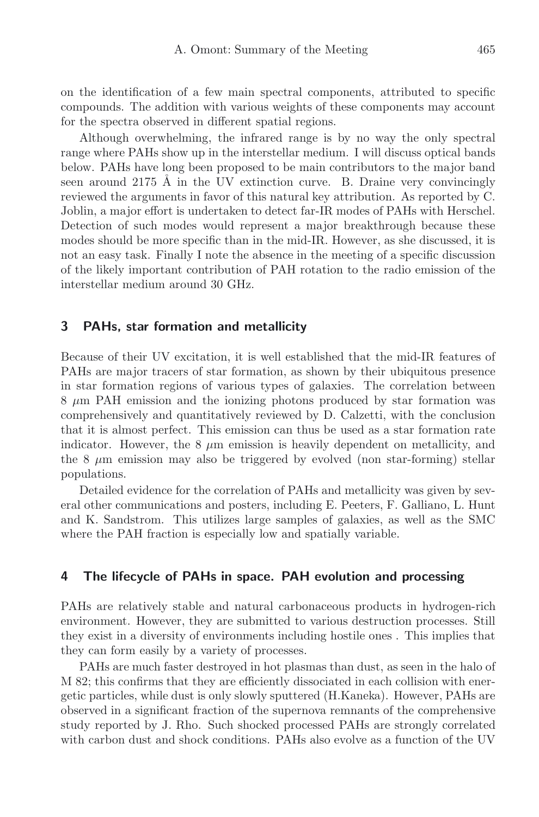on the identification of a few main spectral components, attributed to specific compounds. The addition with various weights of these components may account for the spectra observed in different spatial regions.

Although overwhelming, the infrared range is by no way the only spectral range where PAHs show up in the interstellar medium. I will discuss optical bands below. PAHs have long been proposed to be main contributors to the major band seen around 2175  $\AA$  in the UV extinction curve. B. Draine very convincingly reviewed the arguments in favor of this natural key attribution. As reported by C. Joblin, a major effort is undertaken to detect far-IR modes of PAHs with Herschel. Detection of such modes would represent a major breakthrough because these modes should be more specific than in the mid-IR. However, as she discussed, it is not an easy task. Finally I note the absence in the meeting of a specific discussion of the likely important contribution of PAH rotation to the radio emission of the interstellar medium around 30 GHz.

#### **3 PAHs, star formation and metallicity**

Because of their UV excitation, it is well established that the mid-IR features of PAHs are major tracers of star formation, as shown by their ubiquitous presence in star formation regions of various types of galaxies. The correlation between 8 *µ*m PAH emission and the ionizing photons produced by star formation was comprehensively and quantitatively reviewed by D. Calzetti, with the conclusion that it is almost perfect. This emission can thus be used as a star formation rate indicator. However, the 8 *µ*m emission is heavily dependent on metallicity, and the 8  $\mu$ m emission may also be triggered by evolved (non star-forming) stellar populations.

Detailed evidence for the correlation of PAHs and metallicity was given by several other communications and posters, including E. Peeters, F. Galliano, L. Hunt and K. Sandstrom. This utilizes large samples of galaxies, as well as the SMC where the PAH fraction is especially low and spatially variable.

#### **4 The lifecycle of PAHs in space. PAH evolution and processing**

PAHs are relatively stable and natural carbonaceous products in hydrogen-rich environment. However, they are submitted to various destruction processes. Still they exist in a diversity of environments including hostile ones . This implies that they can form easily by a variety of processes.

PAHs are much faster destroyed in hot plasmas than dust, as seen in the halo of M 82; this confirms that they are efficiently dissociated in each collision with energetic particles, while dust is only slowly sputtered (H.Kaneka). However, PAHs are observed in a significant fraction of the supernova remnants of the comprehensive study reported by J. Rho. Such shocked processed PAHs are strongly correlated with carbon dust and shock conditions. PAHs also evolve as a function of the UV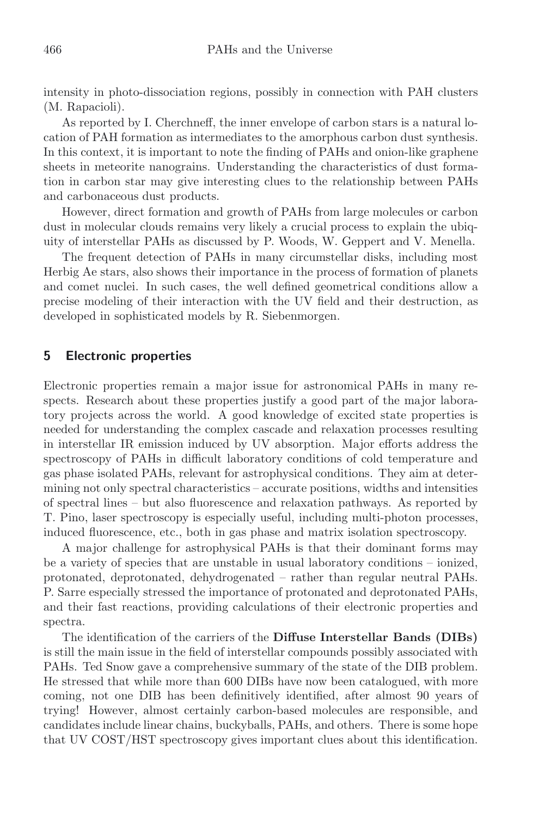intensity in photo-dissociation regions, possibly in connection with PAH clusters (M. Rapacioli).

As reported by I. Cherchneff, the inner envelope of carbon stars is a natural location of PAH formation as intermediates to the amorphous carbon dust synthesis. In this context, it is important to note the finding of PAHs and onion-like graphene sheets in meteorite nanograins. Understanding the characteristics of dust formation in carbon star may give interesting clues to the relationship between PAHs and carbonaceous dust products.

However, direct formation and growth of PAHs from large molecules or carbon dust in molecular clouds remains very likely a crucial process to explain the ubiquity of interstellar PAHs as discussed by P. Woods, W. Geppert and V. Menella.

The frequent detection of PAHs in many circumstellar disks, including most Herbig Ae stars, also shows their importance in the process of formation of planets and comet nuclei. In such cases, the well defined geometrical conditions allow a precise modeling of their interaction with the UV field and their destruction, as developed in sophisticated models by R. Siebenmorgen.

### **5 Electronic properties**

Electronic properties remain a major issue for astronomical PAHs in many respects. Research about these properties justify a good part of the major laboratory projects across the world. A good knowledge of excited state properties is needed for understanding the complex cascade and relaxation processes resulting in interstellar IR emission induced by UV absorption. Major efforts address the spectroscopy of PAHs in difficult laboratory conditions of cold temperature and gas phase isolated PAHs, relevant for astrophysical conditions. They aim at determining not only spectral characteristics – accurate positions, widths and intensities of spectral lines – but also fluorescence and relaxation pathways. As reported by T. Pino, laser spectroscopy is especially useful, including multi-photon processes, induced fluorescence, etc., both in gas phase and matrix isolation spectroscopy.

A major challenge for astrophysical PAHs is that their dominant forms may be a variety of species that are unstable in usual laboratory conditions – ionized, protonated, deprotonated, dehydrogenated – rather than regular neutral PAHs. P. Sarre especially stressed the importance of protonated and deprotonated PAHs, and their fast reactions, providing calculations of their electronic properties and spectra.

The identification of the carriers of the **Diffuse Interstellar Bands (DIBs)** is still the main issue in the field of interstellar compounds possibly associated with PAHs. Ted Snow gave a comprehensive summary of the state of the DIB problem. He stressed that while more than 600 DIBs have now been catalogued, with more coming, not one DIB has been definitively identified, after almost 90 years of trying! However, almost certainly carbon-based molecules are responsible, and candidates include linear chains, buckyballs, PAHs, and others. There is some hope that UV COST/HST spectroscopy gives important clues about this identification.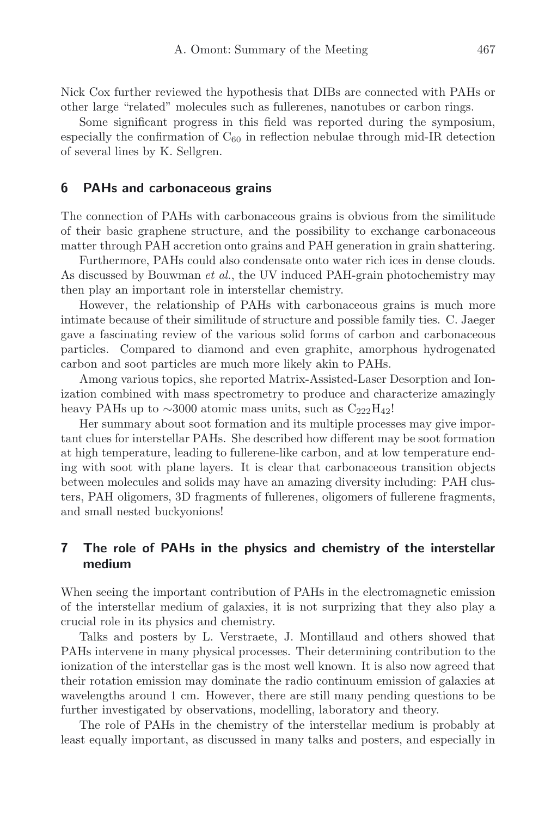Nick Cox further reviewed the hypothesis that DIBs are connected with PAHs or other large "related" molecules such as fullerenes, nanotubes or carbon rings.

Some significant progress in this field was reported during the symposium, especially the confirmation of  $C_{60}$  in reflection nebulae through mid-IR detection of several lines by K. Sellgren.

#### **6 PAHs and carbonaceous grains**

The connection of PAHs with carbonaceous grains is obvious from the similitude of their basic graphene structure, and the possibility to exchange carbonaceous matter through PAH accretion onto grains and PAH generation in grain shattering.

Furthermore, PAHs could also condensate onto water rich ices in dense clouds. As discussed by Bouwman *et al.*, the UV induced PAH-grain photochemistry may then play an important role in interstellar chemistry.

However, the relationship of PAHs with carbonaceous grains is much more intimate because of their similitude of structure and possible family ties. C. Jaeger gave a fascinating review of the various solid forms of carbon and carbonaceous particles. Compared to diamond and even graphite, amorphous hydrogenated carbon and soot particles are much more likely akin to PAHs.

Among various topics, she reported Matrix-Assisted-Laser Desorption and Ionization combined with mass spectrometry to produce and characterize amazingly heavy PAHs up to  $\sim$ 3000 atomic mass units, such as C<sub>222</sub>H<sub>42</sub>!

Her summary about soot formation and its multiple processes may give important clues for interstellar PAHs. She described how different may be soot formation at high temperature, leading to fullerene-like carbon, and at low temperature ending with soot with plane layers. It is clear that carbonaceous transition objects between molecules and solids may have an amazing diversity including: PAH clusters, PAH oligomers, 3D fragments of fullerenes, oligomers of fullerene fragments, and small nested buckyonions!

## **7 The role of PAHs in the physics and chemistry of the interstellar medium**

When seeing the important contribution of PAHs in the electromagnetic emission of the interstellar medium of galaxies, it is not surprizing that they also play a crucial role in its physics and chemistry.

Talks and posters by L. Verstraete, J. Montillaud and others showed that PAHs intervene in many physical processes. Their determining contribution to the ionization of the interstellar gas is the most well known. It is also now agreed that their rotation emission may dominate the radio continuum emission of galaxies at wavelengths around 1 cm. However, there are still many pending questions to be further investigated by observations, modelling, laboratory and theory.

The role of PAHs in the chemistry of the interstellar medium is probably at least equally important, as discussed in many talks and posters, and especially in